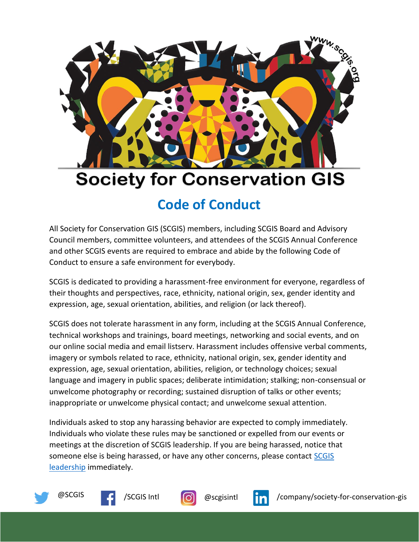

## **Society for Conservation GIS**

## **Code of Conduct**

All Society for Conservation GIS (SCGIS) members, including SCGIS Board and Advisory Council members, committee volunteers, and attendees of the SCGIS Annual Conference and other SCGIS events are required to embrace and abide by the following Code of Conduct to ensure a safe environment for everybody.

SCGIS is dedicated to providing a harassment-free environment for everyone, regardless of their thoughts and perspectives, race, ethnicity, national origin, sex, gender identity and expression, age, sexual orientation, abilities, and religion (or lack thereof).

SCGIS does not tolerate harassment in any form, including at the SCGIS Annual Conference, technical workshops and trainings, board meetings, networking and social events, and on our online social media and email listserv. Harassment includes offensive verbal comments, imagery or symbols related to race, ethnicity, national origin, sex, gender identity and expression, age, sexual orientation, abilities, religion, or technology choices; sexual language and imagery in public spaces; deliberate intimidation; stalking; non-consensual or unwelcome photography or recording; sustained disruption of talks or other events; inappropriate or unwelcome physical contact; and unwelcome sexual attention.

Individuals asked to stop any harassing behavior are expected to comply immediately. Individuals who violate these rules may be sanctioned or expelled from our events or meetings at the discretion of SCGIS leadership. If you are being harassed, notice that someone else is being harassed, or have any other concerns, please contact [SCGIS](mailto:officers@scgis.org)  [leadership](mailto:officers@scgis.org) immediately.